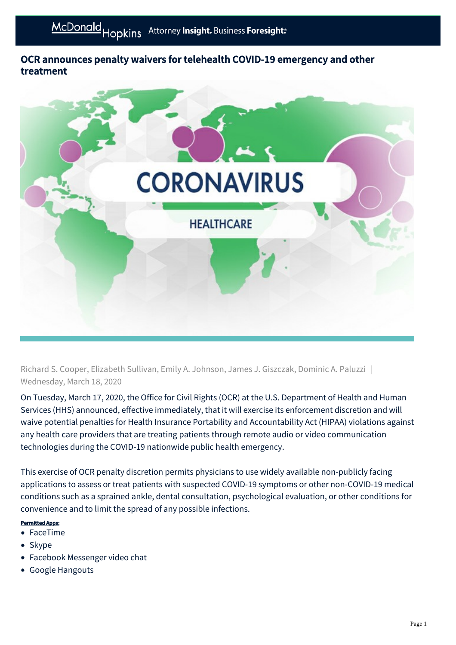## OCR announces penalty waivers for telehealth COVID-19 emergency and other treatment



Richard S. Cooper, Elizabeth Sullivan, Emily A. Johnson, James J. Giszczak, Dominic A. Paluzzi | Wednesday, March 18, 2020

On Tuesday, March 17, 2020, the Office for Civil Rights (OCR) at the U.S. Department of Health and Human Services (HHS) announced, effective immediately, that it will exercise its enforcement discretion and will waive potential penalties for Health Insurance Portability and Accountability Act (HIPAA) violations against any health care providers that are treating patients through remote audio or video communication technologies during the COVID-19 nationwide public health emergency.

This exercise of OCR penalty discretion permits physicians to use widely available non-publicly facing applications to assess or treat patients with suspected COVID-19 symptoms or other non-COVID-19 medical conditions such as a sprained ankle, dental consultation, psychological evaluation, or other conditions for convenience and to limit the spread of any possible infections.

## Permitted Apps:

- FaceTime
- Skype
- Facebook Messenger video chat
- Google Hangouts